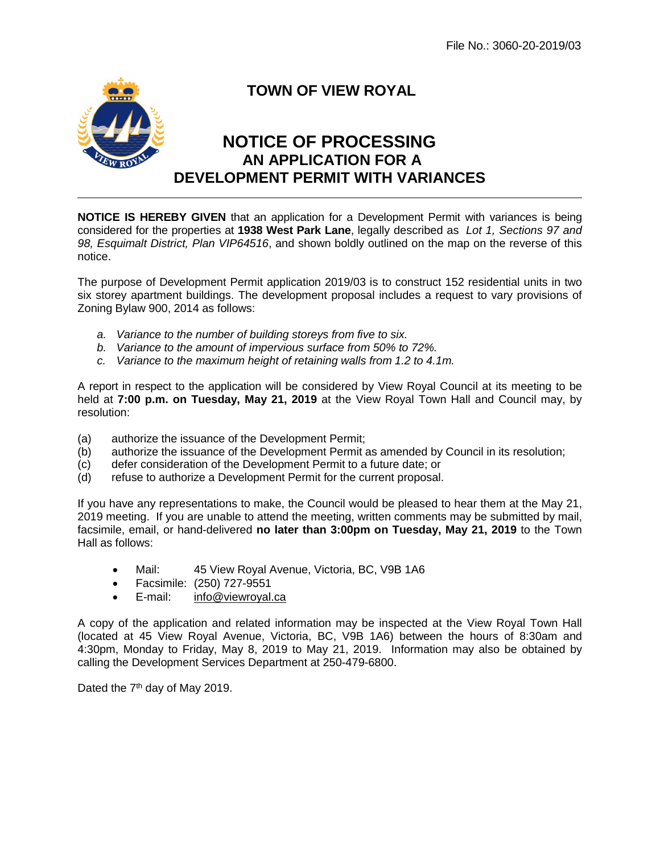

## **TOWN OF VIEW ROYAL**

## **NOTICE OF PROCESSING AN APPLICATION FOR A DEVELOPMENT PERMIT WITH VARIANCES**

**NOTICE IS HEREBY GIVEN** that an application for a Development Permit with variances is being considered for the properties at **1938 West Park Lane**, legally described as *Lot 1, Sections 97 and 98, Esquimalt District, Plan VIP64516*, and shown boldly outlined on the map on the reverse of this notice.

The purpose of Development Permit application 2019/03 is to construct 152 residential units in two six storey apartment buildings. The development proposal includes a request to vary provisions of Zoning Bylaw 900, 2014 as follows:

- *a. Variance to the number of building storeys from five to six.*
- *b. Variance to the amount of impervious surface from 50% to 72%.*
- *c. Variance to the maximum height of retaining walls from 1.2 to 4.1m.*

A report in respect to the application will be considered by View Royal Council at its meeting to be held at **7:00 p.m. on Tuesday, May 21, 2019** at the View Royal Town Hall and Council may, by resolution:

- (a) authorize the issuance of the Development Permit;
- (b) authorize the issuance of the Development Permit as amended by Council in its resolution;
- (c) defer consideration of the Development Permit to a future date; or
- (d) refuse to authorize a Development Permit for the current proposal.

If you have any representations to make, the Council would be pleased to hear them at the May 21, 2019 meeting. If you are unable to attend the meeting, written comments may be submitted by mail, facsimile, email, or hand-delivered **no later than 3:00pm on Tuesday, May 21, 2019** to the Town Hall as follows:

- Mail: 45 View Royal Avenue, Victoria, BC, V9B 1A6
- Facsimile: (250) 727-9551
- E-mail: [info@viewroyal.ca](mailto:info@viewroyal.ca)

A copy of the application and related information may be inspected at the View Royal Town Hall (located at 45 View Royal Avenue, Victoria, BC, V9B 1A6) between the hours of 8:30am and 4:30pm, Monday to Friday, May 8, 2019 to May 21, 2019. Information may also be obtained by calling the Development Services Department at 250-479-6800.

Dated the  $7<sup>th</sup>$  day of May 2019.